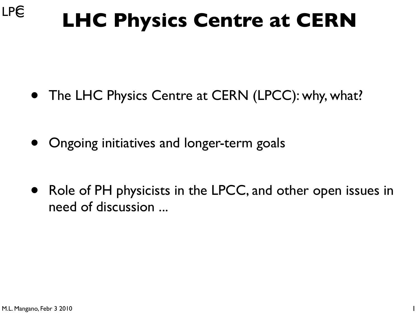#### **LPC LHC Physics Centre at CERN**

- The LHC Physics Centre at CERN (LPCC): why, what?
- Ongoing initiatives and longer-term goals
- Role of PH physicists in the LPCC, and other open issues in need of discussion ...

1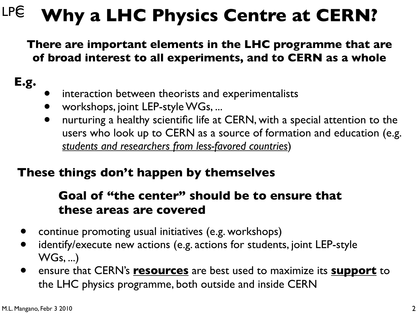#### **LPC Why a LHC Physics Centre at CERN?**

**There are important elements in the LHC programme that are of broad interest to all experiments, and to CERN as a whole**

#### **E.g.**

- interaction between theorists and experimentalists
- workshops, joint LEP-style WGs, ...
- nurturing a healthy scientific life at CERN, with a special attention to the users who look up to CERN as a source of formation and education (e.g. *students and researchers from less-favored countries*)

#### **These things don't happen by themselves**

#### **Goal of "the center" should be to ensure that these areas are covered**

- continue promoting usual initiatives (e.g. workshops)
- identify/execute new actions (e.g. actions for students, joint LEP-style WGs, ...)
- ensure that CERN's **resources** are best used to maximize its **support** to the LHC physics programme, both outside and inside CERN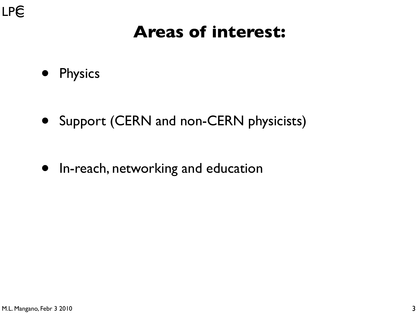

### **Areas of interest:**

- Physics
- Support (CERN and non-CERN physicists)

• In-reach, networking and education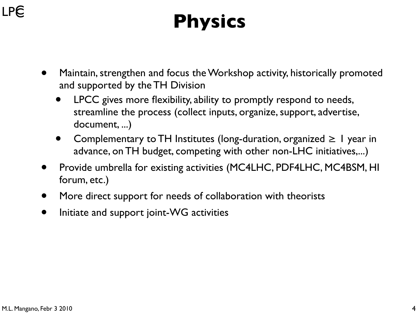### **LPC**

# **Physics**

- Maintain, strengthen and focus the Workshop activity, historically promoted and supported by the TH Division
	- LPCC gives more flexibility, ability to promptly respond to needs, streamline the process (collect inputs, organize, support, advertise, document, ...)
	- Complementary to TH Institutes (long-duration, organized  $\geq 1$  year in advance, on TH budget, competing with other non-LHC initiatives,...)
- Provide umbrella for existing activities (MC4LHC, PDF4LHC, MC4BSM, HI forum, etc.)
- More direct support for needs of collaboration with theorists
- Initiate and support joint-WG activities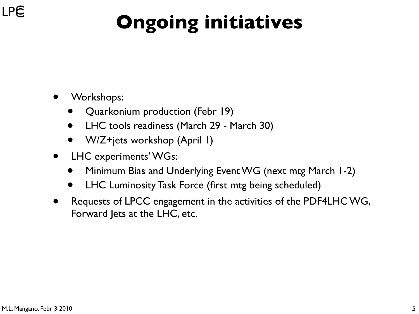# **Ongoing initiatives**

- Workshops:
	- Quarkonium production (Febr 19)
	- LHC tools readiness (March 29 March 30)
	- W/Z+jets workshop (April 1)
- LHC experiments' WGs:
	- Minimum Bias and Underlying Event WG (next mtg March 1-2)
	- LHC Luminosity Task Force (first mtg being scheduled)
- Requests of LPCC engagement in the activities of the PDF4LHC WG, Forward Jets at the LHC, etc.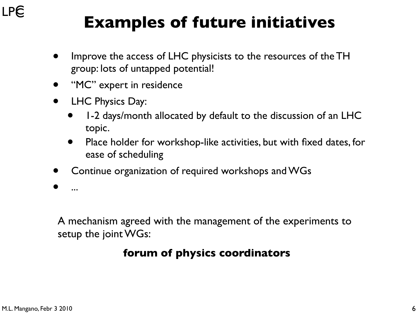## **Examples of future initiatives**

- Improve the access of LHC physicists to the resources of the TH group: lots of untapped potential!
- "MC" expert in residence
- LHC Physics Day:
	- 1-2 days/month allocated by default to the discussion of an LHC topic.
	- Place holder for workshop-like activities, but with fixed dates, for ease of scheduling
- Continue organization of required workshops and WGs

• ...

A mechanism agreed with the management of the experiments to setup the joint WGs:

#### **forum of physics coordinators**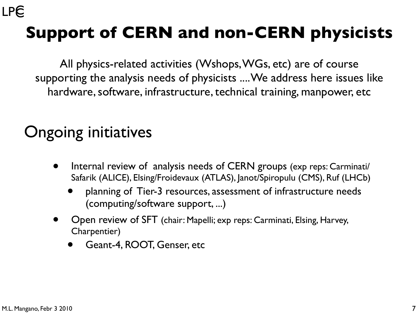## **Support of CERN and non-CERN physicists**

All physics-related activities (Wshops, WGs, etc) are of course supporting the analysis needs of physicists .... We address here issues like hardware, software, infrastructure, technical training, manpower, etc

### Ongoing initiatives

- Internal review of analysis needs of CERN groups (exp reps: Carminati/ Safarik (ALICE), Elsing/Froidevaux (ATLAS), Janot/Spiropulu (CMS), Ruf (LHCb)
	- planning of Tier-3 resources, assessment of infrastructure needs (computing/software support, ...)
- Open review of SFT (chair: Mapelli; exp reps: Carminati, Elsing, Harvey, Charpentier)
	- Geant-4, ROOT, Genser, etc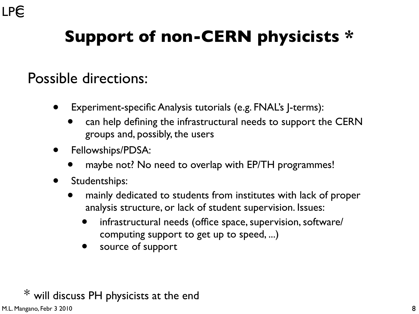## **Support of non-CERN physicists \***

#### Possible directions:

- Experiment-specific Analysis tutorials (e.g. FNAL's J-terms):
	- can help defining the infrastructural needs to support the CERN groups and, possibly, the users
- Fellowships/PDSA:
	- maybe not? No need to overlap with EP/TH programmes!
- Studentships:
	- mainly dedicated to students from institutes with lack of proper analysis structure, or lack of student supervision. Issues:
		- infrastructural needs (office space, supervision, software/ computing support to get up to speed, ...)
		- source of support

#### $*$  will discuss PH physicists at the end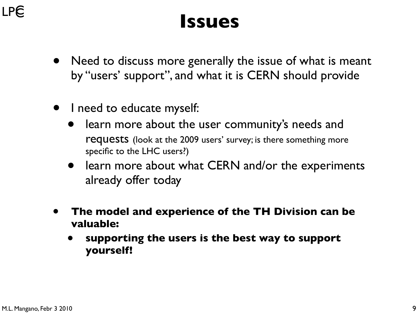### **LPC**

## **Issues**

- Need to discuss more generally the issue of what is meant by "users' support", and what it is CERN should provide
- I need to educate myself:
	- learn more about the user community's needs and requests (look at the 2009 users' survey; is there something more specific to the LHC users?)
	- learn more about what CERN and/or the experiments already offer today
- **The model and experience of the TH Division can be valuable:** 
	- **supporting the users is the best way to support yourself!**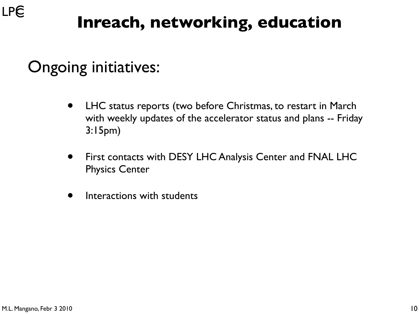## **Inreach, networking, education**

### Ongoing initiatives:

- LHC status reports (two before Christmas, to restart in March with weekly updates of the accelerator status and plans -- Friday 3:15pm)
- First contacts with DESY LHC Analysis Center and FNAL LHC Physics Center
- Interactions with students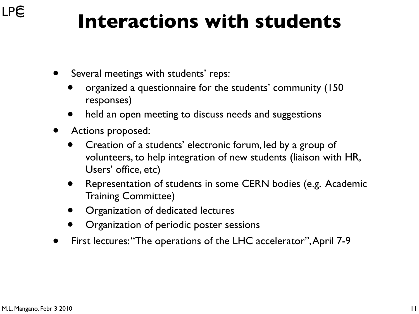## **Interactions with students**

- Several meetings with students' reps:
	- organized a questionnaire for the students' community (150 responses)
	- held an open meeting to discuss needs and suggestions
- Actions proposed:
	- Creation of a students' electronic forum, led by a group of volunteers, to help integration of new students (liaison with HR, Users' office, etc)
	- Representation of students in some CERN bodies (e.g. Academic Training Committee)
	- Organization of dedicated lectures
	- Organization of periodic poster sessions
- First lectures: "The operations of the LHC accelerator", April 7-9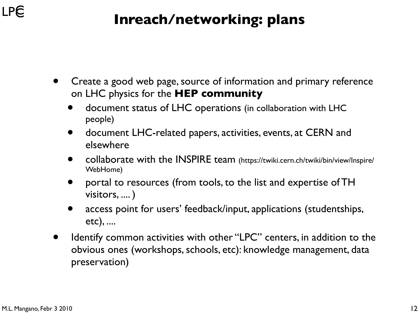#### **Inreach/networking: plans**

- Create a good web page, source of information and primary reference on LHC physics for the **HEP community** 
	- document status of LHC operations (in collaboration with LHC people)
	- document LHC-related papers, activities, events, at CERN and elsewhere
	- collaborate with the INSPIRE team (https://twiki.cern.ch/twiki/bin/view/Inspire/ WebHome)
	- portal to resources (from tools, to the list and expertise of TH visitors, .... )
	- access point for users' feedback/input, applications (studentships, etc), ....
- Identify common activities with other "LPC" centers, in addition to the obvious ones (workshops, schools, etc): knowledge management, data preservation)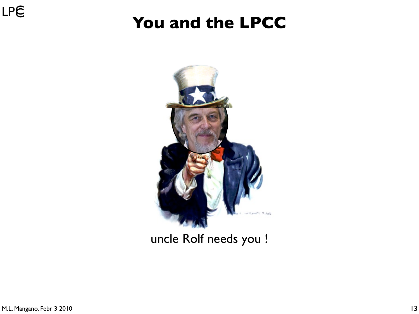### LPE

### **You and the LPCC**



#### uncle Rolf needs you !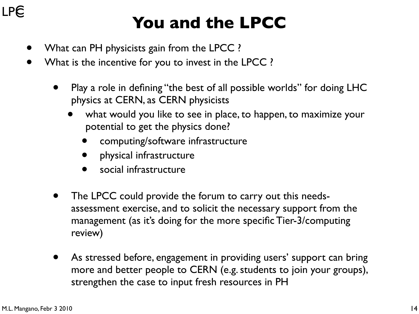#### **LPE**

### **You and the LPCC**

- What can PH physicists gain from the LPCC ?
- What is the incentive for you to invest in the LPCC ?
	- Play a role in defining "the best of all possible worlds" for doing LHC physics at CERN, as CERN physicists
		- what would you like to see in place, to happen, to maximize your potential to get the physics done?
			- computing/software infrastructure
			- physical infrastructure
			- social infrastructure
	- The LPCC could provide the forum to carry out this needsassessment exercise, and to solicit the necessary support from the management (as it's doing for the more specific Tier-3/computing review)
	- As stressed before, engagement in providing users' support can bring more and better people to CERN (e.g. students to join your groups), strengthen the case to input fresh resources in PH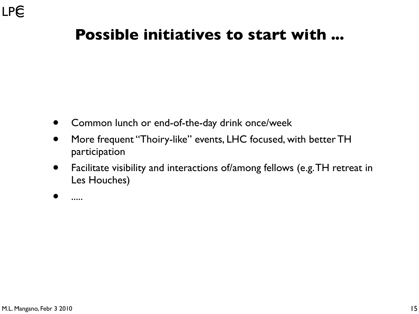#### **Possible initiatives to start with ...**

- Common lunch or end-of-the-day drink once/week
- More frequent "Thoiry-like" events, LHC focused, with better TH participation
- Facilitate visibility and interactions of/among fellows (e.g. TH retreat in Les Houches)

• .....